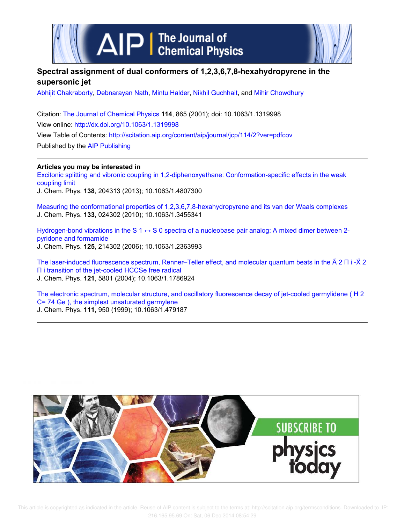

# **Spectral assignment of dual conformers of 1,2,3,6,7,8-hexahydropyrene in the supersonic jet**

Abhijit Chakraborty, Debnarayan Nath, Mintu Halder, Nikhil Guchhait, and Mihir Chowdhury

Citation: The Journal of Chemical Physics **114**, 865 (2001); doi: 10.1063/1.1319998 View online: http://dx.doi.org/10.1063/1.1319998 View Table of Contents: http://scitation.aip.org/content/aip/journal/jcp/114/2?ver=pdfcov Published by the AIP Publishing

**Articles you may be interested in**

Excitonic splitting and vibronic coupling in 1,2-diphenoxyethane: Conformation-specific effects in the weak coupling limit

J. Chem. Phys. **138**, 204313 (2013); 10.1063/1.4807300

Measuring the conformational properties of 1,2,3,6,7,8-hexahydropyrene and its van der Waals complexes J. Chem. Phys. **133**, 024302 (2010); 10.1063/1.3455341

Hydrogen-bond vibrations in the S  $1 \leftrightarrow S$  0 spectra of a nucleobase pair analog: A mixed dimer between 2pyridone and formamide J. Chem. Phys. **125**, 214302 (2006); 10.1063/1.2363993

The laser-induced fluorescence spectrum, Renner–Teller effect, and molecular quantum beats in the à 2 Π i -X̃ 2 Π i transition of the jet-cooled HCCSe free radical J. Chem. Phys. **121**, 5801 (2004); 10.1063/1.1786924

The electronic spectrum, molecular structure, and oscillatory fluorescence decay of jet-cooled germylidene ( H 2 C= 74 Ge ), the simplest unsaturated germylene J. Chem. Phys. **111**, 950 (1999); 10.1063/1.479187

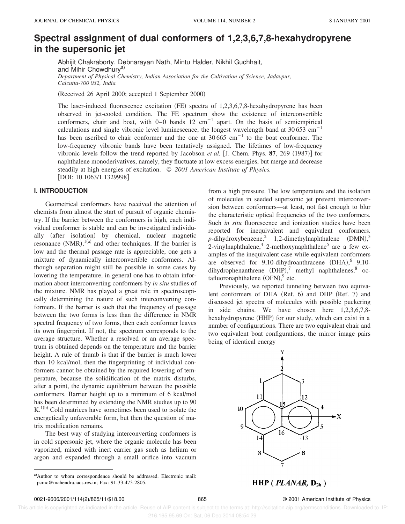# **Spectral assignment of dual conformers of 1,2,3,6,7,8-hexahydropyrene in the supersonic jet**

Abhijit Chakraborty, Debnarayan Nath, Mintu Halder, Nikhil Guchhait, and Mihir Chowdhury<sup>a)</sup> *Department of Physical Chemistry, Indian Association for the Cultivation of Science, Jadavpur, Calcutta-700 032, India*

(Received 26 April 2000; accepted 1 September 2000)

The laser-induced fluorescence excitation  $(FE)$  spectra of 1,2,3,6,7,8-hexahydropyrene has been observed in jet-cooled condition. The FE spectrum show the existence of interconvertible conformers, chair and boat, with  $0-0$  bands 12 cm<sup>-1</sup> apart. On the basis of semiempirical calculations and single vibronic level luminescence, the longest wavelength band at 30 653 cm<sup>-1</sup> has been ascribed to chair conformer and the one at  $30\,665$  cm<sup>-1</sup> to the boat conformer. The low-frequency vibronic bands have been tentatively assigned. The lifetimes of low-frequency vibronic levels follow the trend reported by Jacobson *et al.* [J. Chem. Phys.  $87, 269$  (1987)] for naphthalene monoderivatives, namely, they fluctuate at low excess energies, but merge and decrease steadily at high energies of excitation. © *2001 American Institute of Physics.* [DOI: 10.1063/1.1329998]

## **I. INTRODUCTION**

Geometrical conformers have received the attention of chemists from almost the start of pursuit of organic chemistry. If the barrier between the conformers is high, each individual conformer is stable and can be investigated individually (after isolation) by chemical, nuclear magnetic resonance  $(NMR)$ ,  $^{1(a)}$  and other techniques. If the barrier is low and the thermal passage rate is appreciable, one gets a mixture of dynamically interconvertible conformers. Although separation might still be possible in some cases by lowering the temperature, in general one has to obtain information about interconverting conformers by *in situ* studies of the mixture. NMR has played a great role in spectroscopically determining the nature of such interconverting conformers. If the barrier is such that the frequency of passage between the two forms is less than the difference in NMR spectral frequency of two forms, then each conformer leaves its own fingerprint. If not, the spectrum corresponds to the average structure. Whether a resolved or an average spectrum is obtained depends on the temperature and the barrier height. A rule of thumb is that if the barrier is much lower than 10 kcal/mol, then the fingerprinting of individual conformers cannot be obtained by the required lowering of temperature, because the solidification of the matrix disturbs, after a point, the dynamic equilibrium between the possible conformers. Barrier height up to a minimum of 6 kcal/mol has been determined by extending the NMR studies up to 90  $K<sup>1(b)</sup>$  Cold matrices have sometimes been used to isolate the energetically unfavorable form, but then the question of matrix modification remains.

The best way of studying interconverting conformers is in cold supersonic jet, where the organic molecule has been vaporized, mixed with inert carrier gas such as helium or argon and expanded through a small orifice into vacuum

from a high pressure. The low temperature and the isolation of molecules in seeded supersonic jet prevent interconversion between conformers—at least, not fast enough to blur the characteristic optical frequencies of the two conformers. Such *in situ* fluorescence and ionization studies have been reported for inequivalent and equivalent conformers.  $p$ -dihydroxybenzene,<sup>2</sup> 1,2-dimethylnaphthalene  $(DMN)$ ,<sup>3</sup> 2-vinylnaphthalene,  $4$  2-methoxynaphthalene<sup>5</sup> are a few examples of the inequivalent case while equivalent conformers are observed for  $9,10$ -dihydroanthracene  $(DHA),$ <sup>6</sup>  $9,10$ dihydrophenanthrene  $(DHP)$ ,<sup>7</sup> methyl naphthalenes,<sup>8</sup> octafluoronaphthalene  $(OFN)$ ,  $9$  etc.

Previously, we reported tunneling between two equivalent conformers of DHA (Ref. 6) and DHP (Ref. 7) and discussed jet spectra of molecules with possible puckering in side chains. We have chosen here 1,2,3,6,7,8 hexahydropyrene (HHP) for our study, which can exist in a number of configurations. There are two equivalent chair and two equivalent boat configurations, the mirror image pairs being of identical energy



 $HHP$  (*PLANAR*,  $D_{2h}$ )

 This article is copyrighted as indicated in the article. Reuse of AIP content is subject to the terms at: http://scitation.aip.org/termsconditions. Downloaded to IP: 216.165.95.69 On: Sat, 06 Dec 2014 08:54:29

a)Author to whom correspondence should be addressed. Electronic mail: pcmc@mahendra.iacs.res.in; Fax: 91-33-473-2805.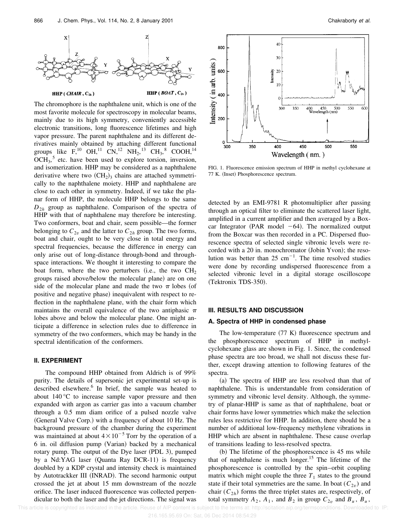

The chromophore is the naphthalene unit, which is one of the most favorite molecule for spectroscopy in molecular beams, mainly due to its high symmetry, conveniently accessible electronic transitions, long fluorescence lifetimes and high vapor pressure. The parent naphthalene and its different derivatives mainly obtained by attaching different functional groups like  $F^{10}$  OH,<sup>11</sup> CN,<sup>12</sup> NH<sub>2</sub>,<sup>13</sup> CH<sub>3</sub>,<sup>8</sup> COOH,<sup>14</sup>  $OCH<sub>3</sub>$ <sup>5</sup> etc. have been used to explore torsion, inversion, and isomerization. HHP may be considered as a naphthalene derivative where two  $(CH<sub>2</sub>)<sub>3</sub>$  chains are attached symmetrically to the naphthalene moiety. HHP and naphthalene are close to each other in symmetry. Indeed, if we take the planar form of HHP, the molecule HHP belongs to the same *D*2*<sup>h</sup>* group as naphthalene. Comparison of the spectra of HHP with that of naphthalene may therefore be interesting. Two conformers, boat and chair, seem possible—the former belonging to  $C_{2v}$  and the latter to  $C_{2h}$  group. The two forms, boat and chair, ought to be very close in total energy and spectral frequencies, because the difference in energy can only arise out of long-distance through-bond and throughspace interactions. We thought it interesting to compare the boat form, where the two perturbers (i.e., the two  $CH<sub>2</sub>$ ) groups raised above/below the molecular plane) are on one side of the molecular plane and made the two  $\pi$  lobes (of positive and negative phase) inequivalent with respect to reflection in the naphthalene plane, with the chair form which maintains the overall equivalence of the two antiphasic  $\pi$ lobes above and below the molecular plane. One might anticipate a difference in selection rules due to difference in symmetry of the two conformers, which may be handy in the spectral identification of the conformers.

## **II. EXPERIMENT**

The compound HHP obtained from Aldrich is of 99% purity. The details of supersonic jet experimental set-up is described elsewhere.<sup>6</sup> In brief, the sample was heated to about 140 °C to increase sample vapor pressure and then expanded with argon as carrier gas into a vacuum chamber through a 0.5 mm diam orifice of a pulsed nozzle valve (General Valve Corp.) with a frequency of about 10 Hz. The background pressure of the chamber during the experiment was maintained at about  $4 \times 10^{-5}$  Torr by the operation of a 6 in. oil diffusion pump (Varian) backed by a mechanical rotary pump. The output of the Dye laser (PDL 3), pumped by a Nd:YAG laser (Quanta Ray DCR-11) is frequency doubled by a KDP crystal and intensity check is maintained by Autotrackker III (INRAD). The second harmonic output crossed the jet at about 15 mm downstream of the nozzle orifice. The laser induced fluorescence was collected perpendicular to both the laser and the jet directions. The signal was



FIG. 1. Fluorescence emission spectrum of HHP in methyl cyclohexane at 77 K. (Inset) Phosphorescence spectrum.

detected by an EMI-9781 R photomultiplier after passing through an optical filter to eliminate the scattered laser light, amplified in a current amplifier and then averaged by a Boxcar Integrator (PAR model  $-64$ ). The normalized output from the Boxcar was then recorded in a PC. Dispersed fluorescence spectra of selected single vibronic levels were recorded with a 20 in. monochromator (Jobin Yvon); the resolution was better than 25 cm<sup>-1</sup>. The time resolved studies were done by recording undispersed fluorescence from a selected vibronic level in a digital storage oscilloscope (Tektronix TDS-350).

## **III. RESULTS AND DISCUSSION**

## **A. Spectra of HHP in condensed phase**

The low-temperature  $(77 \text{ K})$  fluorescence spectrum and the phosphorescence spectrum of HHP in methylcyclohexane glass are shown in Fig. 1. Since, the condensed phase spectra are too broad, we shall not discuss these further, except drawing attention to following features of the spectra.

 $(a)$  The spectra of HHP are less resolved than that of naphthalene. This is understandable from consideration of symmetry and vibronic level density. Although, the symmetry of planar-HHP is same as that of naphthalene, boat or chair forms have lower symmetries which make the selection rules less restrictive for HHP. In addition, there should be a number of additional low-frequency methylene vibrations in HHP which are absent in naphthalene. These cause overlap of transitions leading to less-resolved spectra.

 $(b)$  The lifetime of the phosphorescence is 45 ms while that of naphthalene is much longer.<sup>15</sup> The lifetime of the phosphorescence is controlled by the spin–orbit coupling matrix which might couple the three  $T_1$  states to the ground state if their total symmetries are the same. In boat  $(C_{2v})$  and chair  $(C_{2h})$  forms the three triplet states are, respectively, of total symmetry  $A_2$ ,  $A_1$ , and  $B_2$  in group  $C_{2v}$  and  $B_u$ ,  $B_u$ ,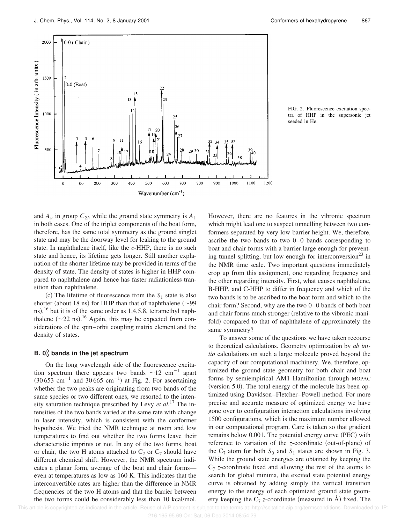

FIG. 2. Fluorescence excitation spectra of HHP in the supersonic jet seeded in He.

and  $A_u$  in group  $C_{2h}$  while the ground state symmetry is  $A_1$ in both cases. One of the triplet components of the boat form, therefore, has the same total symmetry as the ground singlet state and may be the doorway level for leaking to the ground state. In naphthalene itself, like the *c*-HHP, there is no such state and hence, its lifetime gets longer. Still another explanation of the shorter lifetime may be provided in terms of the density of state. The density of states is higher in HHP compared to naphthalene and hence has faster radiationless transition than naphthalene.

(c) The lifetime of fluorescence from the  $S_1$  state is also shorter (about 18 ns) for HHP than that of naphthalene  $({\sim}99$ ns),<sup>16</sup> but it is of the same order as 1,4,5,8, tetramethyl naphthalene  $({\sim}22 \text{ ns})$ .<sup>16</sup> Again, this may be expected from considerations of the spin–orbit coupling matrix element and the density of states.

## **B. 0<sup>0</sup> <sup>0</sup> bands in the jet spectrum**

On the long wavelength side of the fluorescence excitation spectrum there appears two bands  $\sim$ 12 cm<sup>-1</sup> apart  $(30.653 \text{ cm}^{-1} \text{ and } 30.665 \text{ cm}^{-1})$  at Fig. 2. For ascertaining whether the two peaks are originating from two bands of the same species or two different ones, we resorted to the intensity saturation technique prescribed by Levy *et al.*<sup>17</sup> The intensities of the two bands varied at the same rate with change in laser intensity, which is consistent with the conformer hypothesis. We tried the NMR technique at room and low temperatures to find out whether the two forms leave their characteristic imprints or not. In any of the two forms, boat or chair, the two H atoms attached to  $C_2$  or  $C_7$  should have different chemical shift. However, the NMR spectrum indicates a planar form, average of the boat and chair forms even at temperatures as low as 160 K. This indicates that the interconvertible rates are higher than the difference in NMR frequencies of the two H atoms and that the barrier between the two forms could be considerably less than 10 kcal/mol. However, there are no features in the vibronic spectrum which might lead one to suspect tunnelling between two conformers separated by very low barrier height. We, therefore, ascribe the two bands to two 0–0 bands corresponding to boat and chair forms with a barrier large enough for preventing tunnel splitting, but low enough for interconversion<sup>23</sup> in the NMR time scale. Two important questions immediately crop up from this assignment, one regarding frequency and the other regarding intensity. First, what causes naphthalene, B-HHP, and C-HHP to differ in frequency and which of the two bands is to be ascribed to the boat form and which to the chair form? Second, why are the two 0–0 bands of both boat and chair forms much stronger (relative to the vibronic manifold) compared to that of naphthalene of approximately the same symmetry?

To answer some of the questions we have taken recourse to theoretical calculations. Geometry optimization by *ab initio* calculations on such a large molecule proved beyond the capacity of our computational machinery. We, therefore, optimized the ground state geometry for both chair and boat forms by semiempirical AM1 Hamiltonian through MOPAC (version 5.0). The total energy of the molecule has been optimized using Davidson–Fletcher–Powell method. For more precise and accurate measure of optimized energy we have gone over to configuration interaction calculations involving 1500 configurations, which is the maximum number allowed in our computational program. Care is taken so that gradient remains below  $0.001$ . The potential energy curve  $(PEC)$  with reference to variation of the *z*-coordinate (out-of-plane) of the  $C_7$  atom for both  $S_0$  and  $S_1$  states are shown in Fig. 3. While the ground state energies are obtained by keeping the  $C_7$  *z*-coordinate fixed and allowing the rest of the atoms to search for global minima, the excited state potential energy curve is obtained by adding simply the vertical transition energy to the energy of each optimized ground state geometry keeping the  $C_7$  *z*-coordinate (measured in  $\AA$ ) fixed. The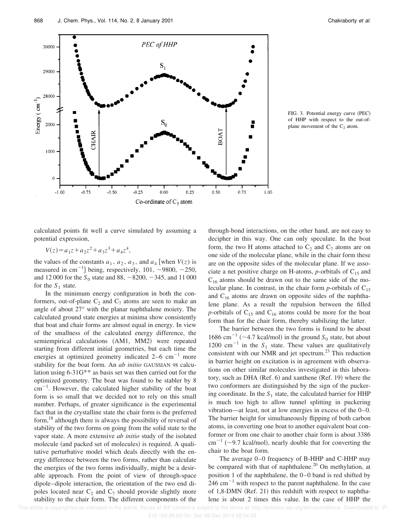![](_page_4_Figure_2.jpeg)

FIG. 3. Potential energy curve (PEC) of HHP with respect to the out-ofplane movement of the  $C_2$  atom.

calculated points fit well a curve simulated by assuming a potential expression,

$$
V(z) = a_1 z + a_2 z^2 + a_3 z^3 + a_4 z^4,
$$

the values of the constants  $a_1$ ,  $a_2$ ,  $a_3$ , and  $a_4$  [when  $V(z)$  is measured in cm<sup>-1</sup>] being, respectively, 101, -9800, -250, and 12 000 for the  $S_0$  state and 88,  $-8200, -345$ , and 11 000 for the  $S_1$  state.

In the minimum energy configuration in both the conformers, out-of-plane  $C_2$  and  $C_7$  atoms are seen to make an angle of about 27° with the planar naphthalene moiety. The calculated ground state energies at minima show consistently that boat and chair forms are almost equal in energy. In view of the smallness of the calculated energy difference, the semiempirical calculations (AM1, MM2) were repeated starting from different initial geometries, but each time the energies at optimized geometry indicated  $2-6$  cm<sup>-1</sup> more stability for the boat form. An *ab initio* GAUSSIAN 98 calculation using 6-31G\*\* as basis set was then carried out for the optimized geometry. The boat was found to be stabler by 8  $\rm cm^{-1}$ . However, the calculated higher stability of the boat form is so small that we decided not to rely on this small number. Perhaps, of greater significance is the experimental fact that in the crystalline state the chair form is the preferred form,<sup>18</sup> although there is always the possibility of reversal of stability of the two forms on going from the solid state to the vapor state. A more extensive *ab initio* study of the isolated molecule (and packed set of molecules) is required. A qualitative perturbative model which deals directly with the energy difference between the two forms, rather than calculate the energies of the two forms individually, might be a desirable approach. From the point of view of through-space dipole–dipole interaction, the orientation of the two end dipoles located near  $C_2$  and  $C_7$  should provide slightly more stability to the chair form. The different components of the through-bond interactions, on the other hand, are not easy to decipher in this way. One can only speculate. In the boat form, the two H atoms attached to  $C_2$  and  $C_7$  atoms are on one side of the molecular plane, while in the chair form these are on the opposite sides of the molecular plane. If we associate a net positive charge on H-atoms,  $p$ -orbitals of  $C_{15}$  and  $C_{16}$  atoms should be drawn out to the same side of the molecular plane. In contrast, in the chair form  $p$ -orbitals of  $C_{15}$ and  $C_{16}$  atoms are drawn on opposite sides of the naphthalene plane. As a result the repulsion between the filled *p*-orbitals of  $C_{15}$  and  $C_{16}$  atoms could be more for the boat form than for the chair form, thereby stabilizing the latter.

The barrier between the two forms is found to be about 1686 cm<sup>-1</sup> (~4.7 kcal/mol) in the ground  $S_0$  state, but about 1200 cm<sup>-1</sup> in the  $S_1$  state. These values are qualitatively consistent with our NMR and jet spectrum.<sup>23</sup> This reduction in barrier height on excitation is in agreement with observations on other similar molecules investigated in this laboratory, such as DHA  $(Ref. 6)$  and xanthene  $(Ref. 19)$  where the two conformers are distinguished by the sign of the puckering coordinate. In the  $S_1$  state, the calculated barrier for HHP is much too high to allow tunnel splitting in puckering vibration—at least, not at low energies in excess of the 0–0. The barrier height for simultaneously flipping of both carbon atoms, in converting one boat to another equivalent boat conformer or from one chair to another chair form is about 3386  $\text{cm}^{-1}$  (~9.7 kcal/mol), nearly double that for converting the chair to the boat form.

The average 0–0 frequency of B-HHP and C-HHP may be compared with that of naphthalene.<sup>20</sup> On methylation, at position 1 of the naphthalene, the 0–0 band is red shifted by  $246$  cm<sup>-1</sup> with respect to the parent naphthalene. In the case of 1,8-DMN (Ref. 21) this redshift with respect to naphthalene is about 2 times this value. In the case of HHP the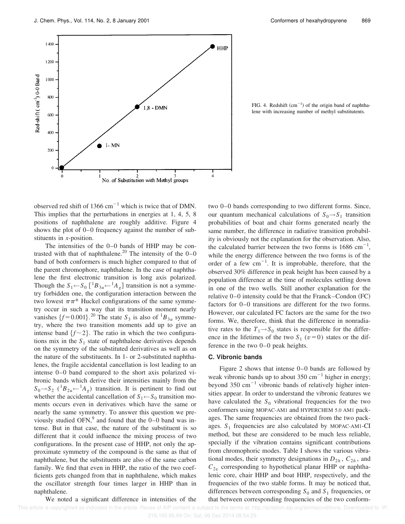![](_page_5_Figure_2.jpeg)

FIG. 4. Redshift  $(cm<sup>-1</sup>)$  of the origin band of naphthalene with increasing number of methyl substitutents.

observed red shift of 1366  $cm^{-1}$  which is twice that of DMN. This implies that the perturbations in energies at 1, 4, 5, 8 positions of naphthalene are roughly additive. Figure 4 shows the plot of 0–0 frequency against the number of substituents in *x*-position.

The intensities of the 0–0 bands of HHP may be contrasted with that of naphthalene.<sup>20</sup> The intensity of the  $0-0$ band of both conformers is much higher compared to that of the parent chromophore, naphthalene. In the case of naphthalene the first electronic transition is long axis polarized. Though the  $S_1 \leftarrow S_0$  [<sup>1</sup> $B_{3u} \leftarrow {}^1A_g$ ] transition is not a symmetry forbidden one, the configuration interaction between the two lowest  $\pi \pi^*$  Huckel configurations of the same symmetry occur in such a way that its transition moment nearly vanishes  $\{f = 0.001\}$ .<sup>20</sup> The state  $S_3$  is also of <sup>1</sup> $B_{3u}$  symmetry, where the two transition moments add up to give an intense band  $\{f \sim 2\}$ . The ratio in which the two configurations mix in the  $S_1$  state of naphthalene derivatives depends on the symmetry of the substituted derivatives as well as on the nature of the substituents. In 1- or 2-substituted naphthalenes, the fragile accidental cancellation is lost leading to an intense 0–0 band compared to the short axis polarized vibronic bands which derive their intensities mainly from the  $S_0 \rightarrow S_2$  ( ${}^1B_{2u} \leftarrow {}^1A_g$ ) transition. It is pertinent to find out whether the accidental cancellation of  $S_1 \leftarrow S_0$  transition moments occurs even in derivatives which have the same or nearly the same symmetry. To answer this question we previously studied OFN, $9$  and found that the 0–0 band was intense. But in that case, the nature of the substituent is so different that it could influence the mixing process of two configurations. In the present case of HHP, not only the approximate symmetry of the compound is the same as that of naphthalene, but the substituents are also of the same carbon family. We find that even in HHP, the ratio of the two coefficients gets changed from that in naphthalene, which makes the oscillator strength four times larger in HHP than in naphthalene.

We noted a significant difference in intensities of the

two 0–0 bands corresponding to two different forms. Since, our quantum mechanical calculations of  $S_0 \rightarrow S_1$  transition probabilities of boat and chair forms generated nearly the same number, the difference in radiative transition probability is obviously not the explanation for the observation. Also, the calculated barrier between the two forms is  $1686 \text{ cm}^{-1}$ , while the energy difference between the two forms is of the order of a few  $cm^{-1}$ . It is improbable, therefore, that the observed 30% difference in peak height has been caused by a population difference at the time of molecules settling down in one of the two wells. Still another explanation for the relative  $0-0$  intensity could be that the Franck–Condon  $(FC)$ factors for 0–0 transitions are different for the two forms. However, our calculated FC factors are the same for the two forms. We, therefore, think that the difference in nonradiative rates to the  $T_1 \rightarrow S_0$  states is responsible for the difference in the lifetimes of the two  $S_1$  ( $v=0$ ) states or the difference in the two 0–0 peak heights.

## **C. Vibronic bands**

Figure 2 shows that intense 0–0 bands are followed by weak vibronic bands up to about 350  $\text{cm}^{-1}$  higher in energy; beyond 350  $\text{cm}^{-1}$  vibronic bands of relatively higher intensities appear. In order to understand the vibronic features we have calculated the  $S_0$  vibrational frequencies for the two conformers using MOPAC-AM1 and HYPERCHEM 5.0 AM1 packages. The same frequencies are obtained from the two packages. *S*<sup>1</sup> frequencies are also calculated by MOPAC-AM1-CI method, but these are considered to be much less reliable, specially if the vibration contains significant contributions from chromophoric modes. Table I shows the various vibrational modes, their symmetry designations in  $D_{2h}$ ,  $C_{2h}$ , and  $C_{2v}$  corresponding to hypothetical planar HHP or naphthalenic core, chair HHP and boat HHP, respectively, and the frequencies of the two stable forms. It may be noticed that, differences between corresponding  $S_0$  and  $S_1$  frequencies, or that between corresponding frequencies of the two conform-

This article is copyrighted as indicated in the article. Reuse of AIP content is subject to the terms at: http://scitation.aip.org/termsconditions. Downloaded to IP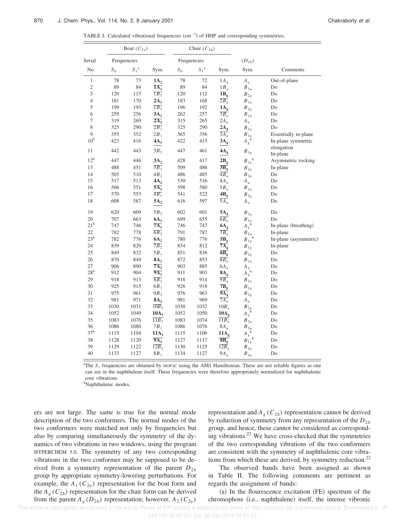|  |  |  | TABLE I. Calculated vibrational frequencies $(cm-1)$ of HHP and corresponding symmetries. |  |
|--|--|--|-------------------------------------------------------------------------------------------|--|
|  |  |  |                                                                                           |  |

|                 |             | Boat $(C_{2\nu})$ |                    |             | Chair $(C_{2h})$ |                         |                                                 |                        |
|-----------------|-------------|-------------------|--------------------|-------------|------------------|-------------------------|-------------------------------------------------|------------------------|
| Serial          | Frequencies |                   |                    | Frequencies |                  |                         | $(D_{2h})$                                      |                        |
| No.             | $S_0$       | $S_1^{\ a}$       | Sym.               | $S_0$       | $S_1^{\ a}$      | Sym.                    | Sym.                                            | Comments               |
| $\mathbf{1}$    | 78          | 73                | $1A_2$             | 78          | 72               | $1A_u$                  | $A_u$                                           | Out-of-plane           |
| $\overline{c}$  | 89          | 84                | $1A_1$             | 89          | 84               | $1B_u$                  | $B_{1u}$                                        | Do                     |
| $\mathfrak z$   | 120         | 115               | $\overline{1B_1}$  | 120         | 112              | 1B <sub>g</sub>         | $B_{2g}$                                        | Do                     |
| $\overline{4}$  | 181         | 170               | $2A_1$             | 183         | 168              | $2B_u$                  | $B_{1u}$                                        | Do                     |
| 5               | 199         | 193               | $1B_2$             | 196         | 192              | $1A_g$                  | $B_{3g}$                                        | Do                     |
| 6               | 259         | 256               | $3A_1$             | 262         | 257              | $\overline{3B_u}$       | $B_{1u}$                                        | Do                     |
| $\overline{7}$  | 319         | 269               | $2A_2$             | 315         | 265              | $2A_u$                  | $A_u$                                           | Do                     |
| 8               | 325         | 290               | $2B_2$             | 325         | 290              | $2A_g$                  | $B_{3g}$                                        | Do                     |
| 9               | 355         | 352               | $2B_1$             | 365         | 356              | $\overline{3A_u}$       | $B_{3u}$                                        | Essentially in-plane   |
| 10 <sup>b</sup> | 423         | 416               | $4A_1$             | 422         | 415              | $3A_g$                  | $A_g^{\ b}$                                     | In-plane symmetric     |
| 11              | 442         | 443               | $3B_2$             | 447         | 461              | $4A_g$                  | $B_{3g}$                                        | elongation<br>In-plane |
| 12 <sup>b</sup> | 447         | 446               | $3A_2$             | 428         | 417              | 2B <sub>g</sub>         | $B_{1g}^{\quad b}$                              | Asymmetric rocking     |
| 13              | 488         | 451               | $\overline{3B_1}$  | 509         | 486              | $\overline{\rm 3B_{g}}$ | $B_{2g}$                                        | In-plane               |
| 14              | 503         | 510               | $4B_2$             | 486         | 485              | $\overline{4B_u}$       | $B_{2u}$                                        | Do                     |
| 15              | 517         | 513               | $4A_2$             | 530         | 516              | $4A_u$                  | $A_u$                                           | Do                     |
| 16              | 566         | 551               | $5A_1$             | 598         | 580              | $5B_u$                  | $B_{1u}$                                        | Do                     |
| 17              | 570         | 553               | $4B_1$             | 541         | 522              | $4B_g$                  | $B_{2g}$                                        | Do                     |
| 18              | 608         | 587               | 5A <sub>2</sub>    | 616         | 597              | $\overline{5A_u}$       | $A_u$                                           | Do                     |
| 19              | 620         | 609               | $5B_2$             | 602         | 601              | 5A <sub>g</sub>         | $B_{3g}$                                        | Do                     |
| 20              | 707         | 663               | $6A_1$             | 699         | 655              | $\overline{6B_u}$       | $B_{1u}$                                        | Do                     |
| 21 <sup>b</sup> | 747         | 746               | $7A_1$             | 746         | 747              | $6A_g$                  | $A_g^{\ b}$                                     | In-plane (breathing)   |
| 22              | 782         | 778               | $\overline{6B_2}$  | 791         | 787              | $\overline{7B_u}$       | $B_{2u}$                                        | In-plane               |
| $23^b$          | 782         | 776               | 6A <sub>2</sub>    | 780         | 776              | $5B_g$                  | $B_{1g}^{\text{th}}$                            | In-plane (asymmetric)  |
| 24              | 839         | 820               | $\overline{7B_2}$  | 834         | 812              | $7A_g$                  | $B_{3g}$                                        | In-plane               |
| 25              | 849         | 832               | $5B_1$             | 851         | 836              | $\overline{6B_g}$       | $B_{2g}$                                        | Do                     |
| 26              | 870         | 849               | $8A_1$             | 872         | 853              | $\overline{8B_u}$       | $B_{1u}$                                        | Do                     |
| 27              | 906         | 890               | $7A_2$             | 903         | 885              | $6A_u$                  |                                                 | Do                     |
| $28^{\rm b}$    | 912         | 904               | $9A_1$             | 911         | 903              | 8A <sub>g</sub>         | $A_u$ <sub>b</sub>                              | Do                     |
| 29              | 918         | 913               | $\overline{8B_2}$  | 918         | 914              | $\overline{9B_u}$       | $B_{2u}$                                        | Do                     |
| 30              | 925         | 915               | $6B_1$             | 926         | 918              | $7B_g$                  | $B_{2g}$                                        | Do                     |
| 31              | 975         | 961               | $9B_2$             | 976         | 963              | $9A_{\rm g}$            | $B_{3g}$                                        | Do                     |
| 32              | 981         | 971               | 8A <sub>2</sub>    | 981         | 969              | $7A_u$                  | $A_u$                                           | Do                     |
| 33              | 1030        | 1031              | 10B <sub>2</sub>   | 1030        | 1032             | $10B_u$                 | $B_{2u}$                                        | Do                     |
| 34              | 1052        | 1049              | $10A_1$            | 1052        | 1050             | 10A <sub>g</sub>        | $A_g^{\ b}$                                     | Do                     |
| 35              | 1083        | 1076              | $\overline{11B_2}$ | 1083        | 1074             | $\overline{11B_u}$      | $B_{2u}$                                        | Do                     |
| 36              | 1086        | 1080              | $7B_1$             | 1086        | 1076             | $8A_u$                  | $B_{3u}$                                        | Do                     |
| 37 <sup>b</sup> | 1115        | 1104              | $11A_1$            | 1115        | 1106             | 11A <sub>g</sub>        | $A_g^{\overline{b}}$<br>$B_{1g}^{\overline{b}}$ | Do                     |
| 38              | 1128        | 1120              | $9A_2$             | 1127        | 1117             | $\overline{\rm 8B_g}$   |                                                 | Do                     |
| 39              | 1129        | 1122              | $12B_2$            | 1130        | 1125             | $12B_u$                 | $B_{2u}$                                        | Do                     |
| 40              | 1133        | 1127              | $8B_1$             | 1134        | 1127             | $9A_u$                  | $B_{3u}$                                        | Do                     |

<sup>a</sup>The S<sub>1</sub> frequencies are obtained by MOPAC using the AM1 Hamiltonian. These are not reliable figures as one can see in the naphthalene itself. These frequencies were therefore appropriately normalized for naphthalenic core vibrations.

<sup>b</sup>Naphthalenic modes.

ers are not large. The same is true for the normal mode description of the two conformers. The normal modes of the two conformers were matched not only by frequencies but also by comparing simultaneously the symmetry of the dynamics of two vibrations in two windows, using the program HYPERCHEM 5.0. The symmetry of any two corresponding vibrations in the two conformer may be supposed to be derived from a symmetry representation of the parent  $D_{2h}$ group by appropriate symmetry-lowering perturbations. For example, the  $A_1(C_{2v})$  representation for the boat form and the  $A_g$  ( $C_{2h}$ ) representation for the chair form can be derived from the parent  $A_g$  ( $D_{2h}$ ) representation; however,  $A_2$  ( $C_{2v}$ )

representation and  $A_g$  ( $C_{2h}$ ) representation cannot be derived by reduction of symmetry from any representation of the *D*2*<sup>h</sup>* group, and hence, these cannot be considered as corresponding vibrations.<sup>22</sup> We have cross-checked that the symmetries of the two corresponding vibrations of the two conformers are consistent with the symmetry of naphthalenic core vibrations from which these are derived, by symmetry reduction.<sup>22</sup>

The observed bands have been assigned as shown in Table II. The following comments are pertinent as regards the assignment of bands:

 $(a)$  In the flourescence excitation  $(FE)$  spectrum of the chromophore (i.e., naphthalene) itself, the intense vibronic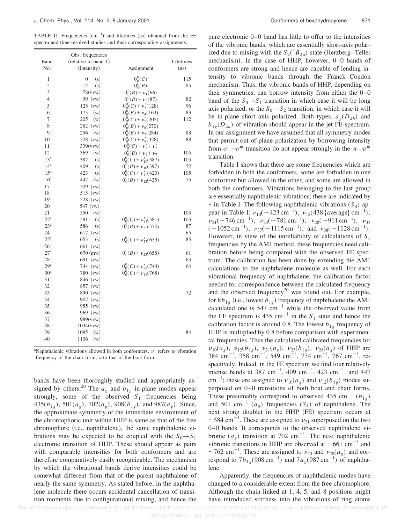TABLE II. Frequencies  $(cm<sup>-1</sup>)$  and lifetimes  $(ns)$  obtained from the FE spectra and time-resolved studies and their corresponding assignments.

|                 | Obs. frequencies        |                                                           |           |
|-----------------|-------------------------|-----------------------------------------------------------|-----------|
| Band            | (relative to band 1)    |                                                           | Lifetimes |
| No.             | (intensity)             | Assignment                                                | (ns)      |
| $\mathbf{1}$    | (s)<br>$\boldsymbol{0}$ | $0_0^0(C)$                                                | 115       |
| $\overline{c}$  | 12<br>(s)               | $0_0^0(B)$                                                | 85        |
| 3               | 78(vvw)                 | $0_0^0(B) + \nu_1(66)$                                    |           |
| $\overline{4}$  | 99 (vw)                 | $0_0^0(B) + \nu_2(87)$                                    | 82        |
| 5               | $128$ (vw)              | $0_0^0(C) + \nu'_3(128)$                                  | 96        |
| 6               | 175<br>(w)              | $0_0^0(B) + \nu_4(163)$                                   | 83        |
| 7               | 205<br>(w)              | $0_0^0(C) + \nu'_5(205)$                                  | 112       |
| 8               | 282<br>(vw)             | $0_0^0(B) + \nu_6(270)$                                   |           |
| 9               | 296<br>(w)              | $0_0^0(B) + \nu_7(284)$                                   | 88        |
| 10              | 328 (vw)                | $0_0^0(C) + \nu_8'(328)$                                  | 88        |
| 11              | 339(vvw)                | $0_0^0(C) + \nu'_3 + \nu'_5$                              |           |
| 12              | 369<br>(w)              | $0_0^0(B) + \nu_1 + \nu_7$                                | 105       |
| 13 <sup>a</sup> | 387<br>(s)              | $0_0^0(C) + \nu'_{10}(387)$                               | 105       |
| 14 <sup>a</sup> | 409<br>(s)              | $0_0^0(B) + \nu_{10}(397)$                                | 72        |
| 15 <sup>a</sup> | 423<br>(s)              | $0_0^0(C) + \nu'_{12}(423)$                               | 105       |
| 16 <sup>a</sup> | 447<br>(w)              | $0_0^0(B) + \nu_{12}(435)$                                | 75        |
| 17              | 509 (vw)                |                                                           |           |
| 18              | $515$ (vw)              |                                                           |           |
| 19              | 528 (vw)                |                                                           |           |
| 20              | 547 (vw)                |                                                           |           |
| 21              | 550<br>(w)              |                                                           | 103       |
| $22^a$          | 581<br>(s)              | $0^0_0(C) + \nu'_{21}(581)$<br>$0^0_0(B) + \nu_{21}(574)$ | 105       |
| 23 <sup>a</sup> | 586<br>(s)              |                                                           | 87        |
| 24              | $617$ (vw)              |                                                           | 65        |
| $25^{\rm a}$    | 653<br>(s)              | $0_0^0(C) + \nu'_{23}(653)$                               | 85        |
| 26              | $661$ (vw)              |                                                           |           |
| 27 <sup>a</sup> | $670 \, (mw)$           | $0_0^0(B) + \nu_{23}(658)$                                | 61        |
| 28              | 691 (vw)                |                                                           | 63        |
| 29 <sup>a</sup> | 744 (vw)                | $0^0_{\rm Q}(C) + \nu_{28}'(744)$                         | 64        |
| 30 <sup>a</sup> | 780 (vw)                | $0_0^0(C) + \nu_{28}(768)$                                |           |
| 31              | 846 (vw)                |                                                           |           |
| 32              | 857 (vw)                |                                                           |           |
| 33              | 890 (vw)                |                                                           | 72        |
| 34              | 902 (vw)                |                                                           |           |
| 35              | 955 (yw)                |                                                           |           |
| 36              | 969 (vw)                |                                                           |           |
| 37              | 989(vvw)                |                                                           |           |
| 38              | 1034(vvw)               |                                                           |           |
| 39              | (w)<br>1095             |                                                           | 84        |
| 40              | 1106<br>(w)             |                                                           |           |

<sup>a</sup>Naphthalenic vibrations allowed in both conformers.  $\nu'$  refers to vibration frequency of the chair form;  $\nu$  to that of the boat form.

bands have been thoroughly studied and appropriately assigned by others.<sup>20</sup> The  $a_g$  and  $b_{1g}$  in-plane modes appear strongly, some of the observed  $S_1$  frequencies being 435( $b_{1g}$ ), 501( $a_g$ ), 702( $a_g$ ), 908( $b_{1g}$ ), and 987( $a_g$ ). Since, the approximate symmetry of the immediate environment of the chromophoric unit within HHP is same as that of the free chromophore (i.e., naphthalene), the same naphthalenic vibrations may be expected to be coupled with the  $S_0 \rightarrow S_1$ electronic transition of HHP. These should appear as pairs with comparable intensities for both conformers and are therefore comparatively easily recognizable. The mechanism by which the vibrational bands derive intensities could be somewhat different from that of the parent naphthalene of nearly the same symmetry. As stated before, in the naphthalene molecule there occurs accidental cancellation of transition moments due to configurational mixing, and hence the pure electronic 0–0 band has little to offer to the intensities of the vibronic bands, which are essentially short-axis polarized due to mixing with the  $S_2({}^1B_{2u})$  state (Herzberg–Teller mechanism). In the case of HHP, however,  $0-0$  bands of conformers are strong and hence are capable of lending intensity to vibronic bands through the Franck–Condon mechanism. Thus, the vibronic bands of HHP, depending on their symmetries, can borrow intensity from either the 0–0 band of the  $S_0 \rightarrow S_1$  transition in which case it will be long axis polarized, or the  $S_0 \rightarrow S_2$  transition, in which case it will be in-plane short axis polarized. Both types,  $a_g(D_{2h})$  and  $b_{1g}(D_{2h})$  of vibration should appear in the jet-FE spectrum. In our assignment we have assumed that all symmetry modes that permit out-of-plane polarization by borrowing intensity from  $\sigma \rightarrow \pi^*$  transition do not appear strongly in the  $\pi - \pi^*$ transition.

Table I shows that there are some frequencies which are forbidden in both the conformers, some are forbidden in one conformer but allowed in the other, and some are allowed in both the conformers. Vibrations belonging to the last group are essentially naphthalenic vibrations; these are indicated by  $*$  in Table I. The following naphthalenic vibrations ( $S_0$ ) appear in Table I:  $v_{10}$ (~423 cm<sup>-1</sup>),  $v_{12}$ (438 {average} cm<sup>-1</sup>),  $v_{21}$ (~746 cm<sup>-1</sup>),  $v_{23}$ (~781 cm<sup>-1</sup>),  $v_{28}$ (~911 cm<sup>-1</sup>),  $v_{34}$  $(\sim 1052 \text{ cm}^{-1}), \nu_{37}(\sim 1115 \text{ cm}^{-1}), \text{ and } \nu_{38}(\sim 1128 \text{ cm}^{-1}).$ However, in view of the unreliability of calculations of *S*<sup>1</sup> frequencies by the AM1 method, these frequencies need calibration before being compared with the observed FE spectrum. The calibration has been done by extending the AM1 calculations to the naphthalene molecule as well. For each vibrational frequency of naphthalene, the calibration factor needed for correspondence between the calculated frequency and the observed frequency<sup>20</sup> was found out. For example, for  $8b_{1g}$  (i.e., lowest  $b_{1g}$ ) frequency of naphthalene the AM1 calculated one is  $547 \text{ cm}^{-1}$  while the observed value from the FE spectrum is 435 cm<sup>-1</sup> in the  $S_1$  state and hence the calibration factor is around 0.8. The lowest  $b_{1g}$  frequency of HHP is multiplied by 0.8 before comparison with experimental frequencies. Thus the calculated calibrated frequencies for  $\nu_{10}(a_g)$ ,  $\nu_{12}(b_{1g})$ ,  $\nu_{21}(a_g)$ ,  $\nu_{23}(b_{1g})$ ,  $\nu_{28}(a_g)$  of HHP are  $384 \text{ cm}^{-1}$ ,  $358 \text{ cm}^{-1}$ ,  $549 \text{ cm}^{-1}$ ,  $734 \text{ cm}^{-1}$ ,  $767 \text{ cm}^{-1}$ , respectively. Indeed, in the FE spectrum we find four relatively intense bands at 387 cm<sup>-1</sup>, 409 cm<sup>-1</sup>, 423 cm<sup>-1</sup>, and 447 cm<sup>-1</sup>; these are assigned to  $v_{10}(a_g)$  and  $v_{12}(b_{1g})$  modes superposed on 0–0 transitions of both boat and chair forms. These presumably correspond to observed 435 cm<sup>-1</sup> ( $b_{1g}$ ) and 501 cm<sup>-1</sup>  $(a_g)$  frequencies  $(S_1)$  of naphthalene. The next strong doublet in the HHP (FE) spectrum occurs at ~584 cm<sup>-1</sup>. These are assigned to  $v_{21}$  superposed on the two 0–0 bands. It corresponds to the observed naphthalene vibronic  $(a_g)$  transition at 702 cm<sup>-1</sup>. The next naphthalenic vibronic transitions in HHP are observed at  $\sim 661 \text{ cm}^{-1}$  and ~762 cm<sup>-1</sup>. These are assigned to  $v_{23}$  and  $v_{28}(a_g)$  and correspond to  $7b_{1g}$  (908 cm<sup>-1</sup>) and  $7a_g(987 \text{ cm}^{-1})$  of naphthalene.

Apparently, the frequencies of naphthalenic modes have changed to a considerable extent from the free chromophore. Although the chain linked at 1, 4, 5, and 8 positions might have introduced stiffness into the vibrations of ring atoms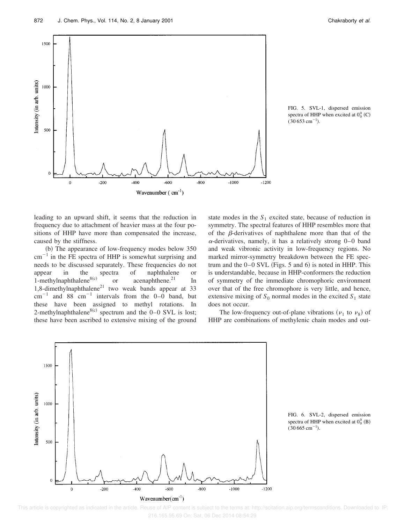![](_page_8_Figure_2.jpeg)

FIG. 5. SVL-1, dispersed emission spectra of HHP when excited at  $0_0^0$  (C)  $(30 653 \text{ cm}^{-1})$ .

leading to an upward shift, it seems that the reduction in frequency due to attachment of heavier mass at the four positions of HHP have more than compensated the increase, caused by the stiffness.

(b) The appearance of low-frequency modes below 350  $\text{cm}^{-1}$  in the FE spectra of HHP is somewhat surprising and needs to be discussed separately. These frequencies do not appear in the spectra of naphthalene or 1-methylnaphthalene $8(c)$ or  $acenaphthene.<sup>21</sup>$  In 1,8-dimethylnaphthalene<sup>21</sup> two weak bands appear at 33  $cm^{-1}$  and 88  $cm^{-1}$  intervals from the 0–0 band, but these have been assigned to methyl rotations. In 2-methylnaphthalene<sup>8(c)</sup> spectrum and the  $0-0$  SVL is lost; these have been ascribed to extensive mixing of the ground state modes in the  $S_1$  excited state, because of reduction in symmetry. The spectral features of HHP resembles more that of the  $\beta$ -derivatives of naphthalene more than that of the  $\alpha$ -derivatives, namely, it has a relatively strong 0–0 band and weak vibronic activity in low-frequency regions. No marked mirror-symmetry breakdown between the FE spectrum and the  $0-0$  SVL (Figs. 5 and 6) is noted in HHP. This is understandable, because in HHP-conformers the reduction of symmetry of the immediate chromophoric environment over that of the free chromophore is very little, and hence, extensive mixing of  $S_0$  normal modes in the excited  $S_1$  state does not occur.

The low-frequency out-of-plane vibrations ( $v_1$  to  $v_8$ ) of HHP are combinations of methylenic chain modes and out-

![](_page_8_Figure_8.jpeg)

FIG. 6. SVL-2, dispersed emission spectra of HHP when excited at  $0_0^0$  (B)  $(30 665 \text{ cm}^{-1}).$ 

 This article is copyrighted as indicated in the article. Reuse of AIP content is subject to the terms at: http://scitation.aip.org/termsconditions. Downloaded to IP: 216.165.95.69 On: Sat, 06 Dec 2014 08:54:29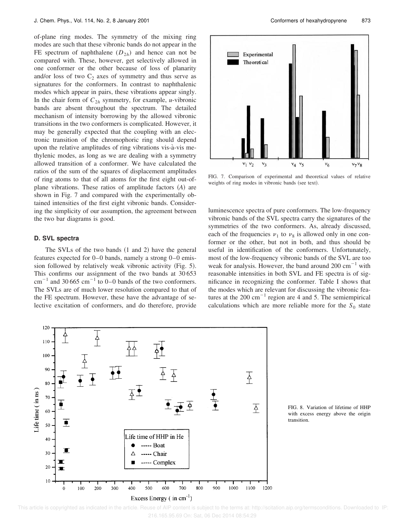of-plane ring modes. The symmetry of the mixing ring modes are such that these vibronic bands do not appear in the FE spectrum of naphthalene  $(D_{2h})$  and hence can not be compared with. These, however, get selectively allowed in one conformer or the other because of loss of planarity and/or loss of two  $C_2$  axes of symmetry and thus serve as signatures for the conformers. In contrast to naphthalenic modes which appear in pairs, these vibrations appear singly. In the chair form of  $C_{2h}$  symmetry, for example, *u*-vibronic bands are absent throughout the spectrum. The detailed mechanism of intensity borrowing by the allowed vibronic transitions in the two conformers is complicated. However, it may be generally expected that the coupling with an electronic transition of the chromophoric ring should depend upon the relative amplitudes of ring vibrations vis-à-vis methylenic modes, as long as we are dealing with a symmetry allowed transition of a conformer. We have calculated the ratios of the sum of the squares of displacement amplitudes of ring atoms to that of all atoms for the first eight out-ofplane vibrations. These ratios of amplitude factors (A) are shown in Fig. 7 and compared with the experimentally obtained intensities of the first eight vibronic bands. Considering the simplicity of our assumption, the agreement between the two bar diagrams is good.

## **D. SVL spectra**

The SVLs of the two bands  $(1 \text{ and } 2)$  have the general features expected for 0–0 bands, namely a strong 0–0 emission followed by relatively weak vibronic activity  $(Fig. 5)$ . This confirms our assignment of the two bands at 30 653  $\text{cm}^{-1}$  and 30 665 cm<sup>-1</sup> to 0–0 bands of the two conformers. The SVLs are of much lower resolution compared to that of the FE spectrum. However, these have the advantage of selective excitation of conformers, and do therefore, provide

![](_page_9_Figure_5.jpeg)

FIG. 7. Comparison of experimental and theoretical values of relative weights of ring modes in vibronic bands (see text).

luminescence spectra of pure conformers. The low-frequency vibronic bands of the SVL spectra carry the signatures of the symmetries of the two conformers. As, already discussed, each of the frequencies  $v_1$  to  $v_8$  is allowed only in one conformer or the other, but not in both, and thus should be useful in identification of the conformers. Unfortunately, most of the low-frequency vibronic bands of the SVL are too weak for analysis. However, the band around  $200 \text{ cm}^{-1}$  with reasonable intensities in both SVL and FE spectra is of significance in recognizing the conformer. Table I shows that the modes which are relevant for discussing the vibronic features at the 200 cm<sup>-1</sup> region are 4 and 5. The semiempirical calculations which are more reliable more for the  $S_0$  state

![](_page_9_Figure_8.jpeg)

FIG. 8. Variation of lifetime of HHP with excess energy above the origin transition.

This article is copyrighted as indicated in the article. Reuse of AIP content is subject to the terms at: http://scitation.aip.org/termsconditions. Downloaded to IP: 216.165.95.69 On: Sat, 06 Dec 2014 08:54:29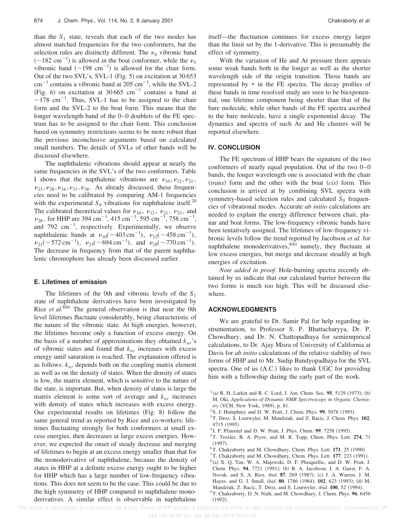than the  $S_1$  state, reveals that each of the two modes has almost matched frequencies for the two conformers, but the selection rules are distinctly different. The  $\nu_4$  vibronic band  $(\sim 182 \text{ cm}^{-1})$  is allowed in the boat conformer, while the  $v_5$ vibronic band  $({\sim}198 \text{ cm}^{-1})$  is allowed for the chair form. Out of the two SVL's, SVL-1 (Fig. 5) on excitation at  $30\,653$  $\text{cm}^{-1}$  contains a vibronic band at 205  $\text{cm}^{-1}$ , while the SVL-2 (Fig. 6) on excitation at  $30,665$  cm<sup>-1</sup> contains a band at  $\sim$ 178 cm<sup>-1</sup>. Thus, SVL-1 has to be assigned to the chair form and the SVL-2 to the boat form. This means that the longer wavelength band of the 0–0 doublets of the FE spectrum has to be assigned to the chair form. This conclusion based on symmetry restrictions seems to be more robust than the previous inconclusive arguments based on calculated small numbers. The details of SVLs of other bands will be discussed elsewhere.

The naphthalenic vibrations should appear at nearly the same frequencies in the SVL's of the two conformers. Table I shows that the napthalenic vibrations are  $v_{10}$ ,  $v_{12}$ ,  $v_{21}$ ,  $\nu_{23}$ ,  $\nu_{28}$ ,  $\nu_{34}$ ,  $\nu_{37}$ ,  $\nu_{38}$ . As already discussed, these frequencies need to be calibrated by comparing AM-1 frequencies with the experimental  $S_0$  vibrations for naphthalene itself.<sup>20</sup> The calibrated theoretical values for  $v_{10}$ ,  $v_{12}$ ,  $v_{21}$ ,  $v_{23}$ , and  $v_{28}$ , for HHP are 394 cm<sup>-1</sup>, 415 cm<sup>-1</sup>, 595 cm<sup>-1</sup>, 758 cm<sup>-1</sup>, and  $792 \text{ cm}^{-1}$ , respectively. Experimentally, we observe naphthalenic bands at  $v_{10}(\sim 403 \text{ cm}^{-1})$ ,  $v_{12}(\sim 458 \text{ cm}^{-1})$ ,  $v_{21}$ (~572 cm<sup>-1</sup>),  $v_{23}$ (~694 cm<sup>-1</sup>), and  $v_{28}$ (~770 cm<sup>-1</sup>). The decrease in frequency from that of the parent naphthalenic chromophore has already been discussed earlier.

## **E. Lifetimes of emission**

The lifetimes of the 0th and vibronic levels of the *S*<sup>1</sup> state of naphthalene derivatives have been investigated by Rice *et al.*<sup>8(b)</sup> The general observation is that near the 0th level lifetimes fluctuate considerably, being characteristic of the nature of the vibronic state. At high energies, however, the lifetimes become only a function of excess energy. On the basis of a number of approximations they obtained  $k_{nr}$ 's of vibronic states and found that *knr* increases with excess energy until saturation is reached. The explanation offered is as follows:  $k_{nr}$  depends both on the coupling matrix element as well as on the density of states. When the density of states is low, the matrix element, which is sensitive to the nature of the state, is important. But, when density of states is large the matrix element is some sort of average and *knr* increases with density of states which increases with excess energy. Our experimental results on lifetimes  $(Fig. 8)$  follow the same general trend as reported by Rice and co-workers; lifetimes fluctuating strongly for both conformers at small excess energies, then decreases at large excess energies. However, we expected the onset of steady decrease and merging of lifetimes to begin at an excess energy smaller than that for the monoderivative of naphthalene, because the density of states in HHP at a definite excess energy ought to be higher for HHP which has a large number of low-frequency vibrations. This does not seem to be the case. This could be due to the high symmetry of HHP compared to naphthalene monoderivatives. A similar effect is observable in naphthalene itself—the fluctuation continues for excess energy larger than the limit set by the 1-derivative. This is presumably the effect of symmetry.

With the variation of He and Ar pressure there appears some weak bands both in the longer as well as the shorter wavelength side of the origin transition. Those bands are represented by \* in the FE spectra. The decay profiles of these bands in time resolved study are seen to be biexponential, one lifetime component being shorter than that of the bare molecule, while other bands of the FE spectra ascribed to the bare molecule, have a single exponential decay. The dynamics and spectra of such Ar and He clusters will be reported elsewhere.

## **IV. CONCLUSION**

The FE spectrum of HHP bears the signature of the two conformers of nearly equal population. Out of the two 0–0 bands, the longer wavelength one is associated with the chair  $(r_{\text{trans}})$  form and the other with the boat  $(cis)$  form. This conclusion is arrived at by combining SVL spectra with symmetry-based selection rules and calculated  $S_0$  frequencies of vibrational modes. Accurate *ab initio* calculations are needed to explain the energy difference between chair, planar and boat forms. The low-frequency vibronic bands have been tentatively assigned. The lifetimes of low-frequency vibronic levels follow the trend reported by Jacobson *et al.* for naphthalene monoderivatives,  $8(b)$  namely, they fluctuate at low excess energies, but merge and decrease steadily at high energies of excitation.

*Note added in proof*. Hole-burning spectra recently obtained by us indicate that our calculated barrier between the two forms is much too high. This will be discussed elsewhere.

## **ACKNOWLEDGMENTS**

We are grateful to Dr. Samir Pal for help regarding instrumentation, to Professor S. P. Bhattacharyya, Dr. P. Chowdhury, and Dr. N. Chattopadhaya for semiempirical calculations, to Dr. Ajay Misra of University of California at Davis for *ab initio* calculations of the relative stability of two forms of HHP and to Mr. Sudip Bandyopadhaya for the SVL spectra. One of us  $(A.C.)$  likes to thank UGC for providing him with a fellowship during the early part of the work.

- $^{1}$ (a) R. H. Larkin and R. C. Lord, J. Am. Chem. Soc. **95**, 5129 (1973); (b) M. Oki, *Applications of Dynamic NMR Spectroscopy in Organic Chemistry* (VCH, New York, 1989), p. 81.
- $2$  S. J. Humphrey and D. W. Pratt, J. Chem. Phys. **99**, 5078 (1993).
- <sup>3</sup>T. Droz, S. Leutwyler, M. Mandziuk, and Z. Bacic, J. Chem. Phys. **102**, 4715 (1995).
- <sup>4</sup> J. F. Pfanstiel and D. W. Pratt, J. Phys. Chem. 99, 7258 (1995).
- <sup>5</sup>T. Troxler, B. A. Pryor, and M. R. Topp, Chem. Phys. Lett. **274**, 71  $(1997).$
- ${}^{6}$ T. Chakraborty and M. Chowdhury, Chem. Phys. Lett. 171, 25 (1990).
- ${}^{7}$ T. Chakraborty and M. Chowdhury, Chem. Phys. Lett. **177**, 223 (1991).
- $8$ (a) X. Q. Tan, W. A. Majewski, D. F. Plusquellic, and D. W. Pratt, J. Chem. Phys. 94, 7721 (1991); (b) B. A. Jacobson, J. A. Guest, F. A. Novak, and S. A. Rice, *ibid.* 87, 269 (1987); (c) J. A. Warren, J. M. Hayes, and G. J. Small, *ibid.* 80, 1786 (1984); 102, 623 (1993); (d) M. Mandziuk, Z. Bacic, T. Droz, and S. Leutwyler, *ibid.* 100, 52 (1994).
- <sup>9</sup>T. Chakraborty, D. N. Nath, and M. Chowdhury, J. Chem. Phys. **96**, 6456  $(1992).$